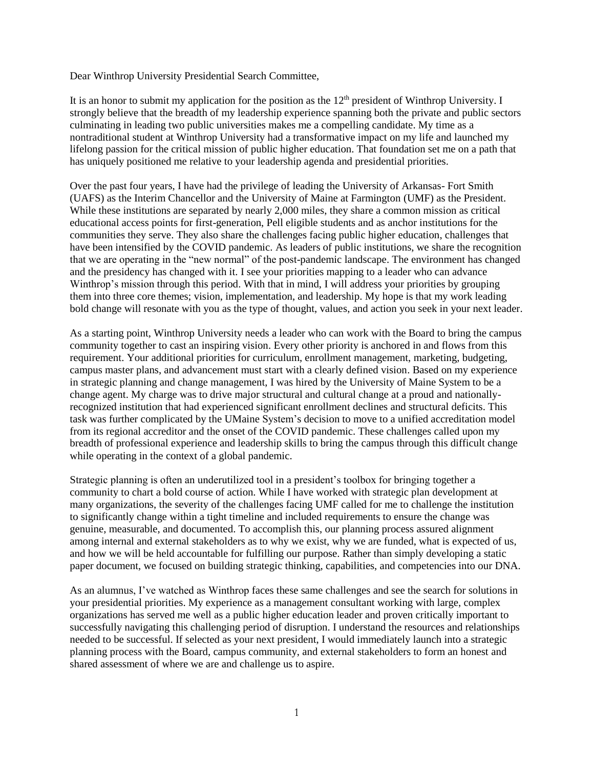Dear Winthrop University Presidential Search Committee,

It is an honor to submit my application for the position as the  $12<sup>th</sup>$  president of Winthrop University. I strongly believe that the breadth of my leadership experience spanning both the private and public sectors culminating in leading two public universities makes me a compelling candidate. My time as a nontraditional student at Winthrop University had a transformative impact on my life and launched my lifelong passion for the critical mission of public higher education. That foundation set me on a path that has uniquely positioned me relative to your leadership agenda and presidential priorities.

Over the past four years, I have had the privilege of leading the University of Arkansas- Fort Smith (UAFS) as the Interim Chancellor and the University of Maine at Farmington (UMF) as the President. While these institutions are separated by nearly 2,000 miles, they share a common mission as critical educational access points for first-generation, Pell eligible students and as anchor institutions for the communities they serve. They also share the challenges facing public higher education, challenges that have been intensified by the COVID pandemic. As leaders of public institutions, we share the recognition that we are operating in the "new normal" of the post-pandemic landscape. The environment has changed and the presidency has changed with it. I see your priorities mapping to a leader who can advance Winthrop's mission through this period. With that in mind, I will address your priorities by grouping them into three core themes; vision, implementation, and leadership. My hope is that my work leading bold change will resonate with you as the type of thought, values, and action you seek in your next leader.

As a starting point, Winthrop University needs a leader who can work with the Board to bring the campus community together to cast an inspiring vision. Every other priority is anchored in and flows from this requirement. Your additional priorities for curriculum, enrollment management, marketing, budgeting, campus master plans, and advancement must start with a clearly defined vision. Based on my experience in strategic planning and change management, I was hired by the University of Maine System to be a change agent. My charge was to drive major structural and cultural change at a proud and nationallyrecognized institution that had experienced significant enrollment declines and structural deficits. This task was further complicated by the UMaine System's decision to move to a unified accreditation model from its regional accreditor and the onset of the COVID pandemic. These challenges called upon my breadth of professional experience and leadership skills to bring the campus through this difficult change while operating in the context of a global pandemic.

Strategic planning is often an underutilized tool in a president's toolbox for bringing together a community to chart a bold course of action. While I have worked with strategic plan development at many organizations, the severity of the challenges facing UMF called for me to challenge the institution to significantly change within a tight timeline and included requirements to ensure the change was genuine, measurable, and documented. To accomplish this, our planning process assured alignment among internal and external stakeholders as to why we exist, why we are funded, what is expected of us, and how we will be held accountable for fulfilling our purpose. Rather than simply developing a static paper document, we focused on building strategic thinking, capabilities, and competencies into our DNA.

As an alumnus, I've watched as Winthrop faces these same challenges and see the search for solutions in your presidential priorities. My experience as a management consultant working with large, complex organizations has served me well as a public higher education leader and proven critically important to successfully navigating this challenging period of disruption. I understand the resources and relationships needed to be successful. If selected as your next president, I would immediately launch into a strategic planning process with the Board, campus community, and external stakeholders to form an honest and shared assessment of where we are and challenge us to aspire.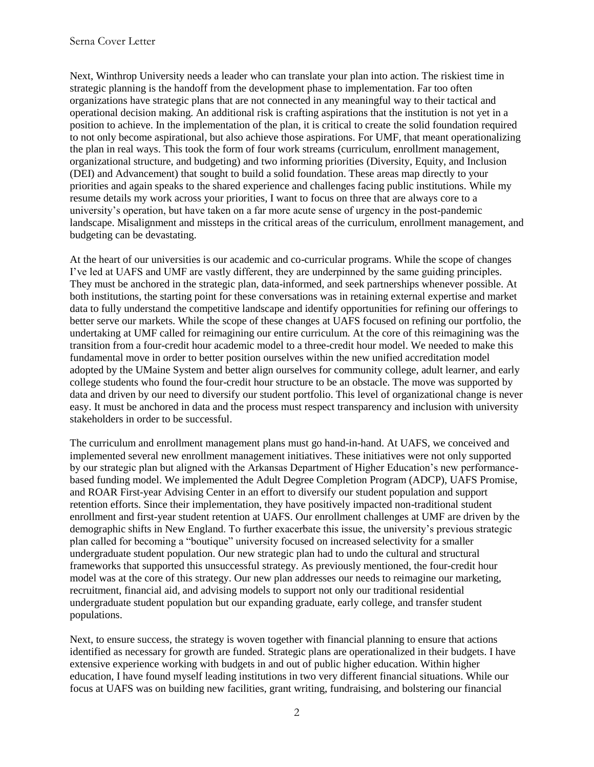Next, Winthrop University needs a leader who can translate your plan into action. The riskiest time in strategic planning is the handoff from the development phase to implementation. Far too often organizations have strategic plans that are not connected in any meaningful way to their tactical and operational decision making. An additional risk is crafting aspirations that the institution is not yet in a position to achieve. In the implementation of the plan, it is critical to create the solid foundation required to not only become aspirational, but also achieve those aspirations. For UMF, that meant operationalizing the plan in real ways. This took the form of four work streams (curriculum, enrollment management, organizational structure, and budgeting) and two informing priorities (Diversity, Equity, and Inclusion (DEI) and Advancement) that sought to build a solid foundation. These areas map directly to your priorities and again speaks to the shared experience and challenges facing public institutions. While my resume details my work across your priorities, I want to focus on three that are always core to a university's operation, but have taken on a far more acute sense of urgency in the post-pandemic landscape. Misalignment and missteps in the critical areas of the curriculum, enrollment management, and budgeting can be devastating.

At the heart of our universities is our academic and co-curricular programs. While the scope of changes I've led at UAFS and UMF are vastly different, they are underpinned by the same guiding principles. They must be anchored in the strategic plan, data-informed, and seek partnerships whenever possible. At both institutions, the starting point for these conversations was in retaining external expertise and market data to fully understand the competitive landscape and identify opportunities for refining our offerings to better serve our markets. While the scope of these changes at UAFS focused on refining our portfolio, the undertaking at UMF called for reimagining our entire curriculum. At the core of this reimagining was the transition from a four-credit hour academic model to a three-credit hour model. We needed to make this fundamental move in order to better position ourselves within the new unified accreditation model adopted by the UMaine System and better align ourselves for community college, adult learner, and early college students who found the four-credit hour structure to be an obstacle. The move was supported by data and driven by our need to diversify our student portfolio. This level of organizational change is never easy. It must be anchored in data and the process must respect transparency and inclusion with university stakeholders in order to be successful.

The curriculum and enrollment management plans must go hand-in-hand. At UAFS, we conceived and implemented several new enrollment management initiatives. These initiatives were not only supported by our strategic plan but aligned with the Arkansas Department of Higher Education's new performancebased funding model. We implemented the Adult Degree Completion Program (ADCP), UAFS Promise, and ROAR First-year Advising Center in an effort to diversify our student population and support retention efforts. Since their implementation, they have positively impacted non-traditional student enrollment and first-year student retention at UAFS. Our enrollment challenges at UMF are driven by the demographic shifts in New England. To further exacerbate this issue, the university's previous strategic plan called for becoming a "boutique" university focused on increased selectivity for a smaller undergraduate student population. Our new strategic plan had to undo the cultural and structural frameworks that supported this unsuccessful strategy. As previously mentioned, the four-credit hour model was at the core of this strategy. Our new plan addresses our needs to reimagine our marketing, recruitment, financial aid, and advising models to support not only our traditional residential undergraduate student population but our expanding graduate, early college, and transfer student populations.

Next, to ensure success, the strategy is woven together with financial planning to ensure that actions identified as necessary for growth are funded. Strategic plans are operationalized in their budgets. I have extensive experience working with budgets in and out of public higher education. Within higher education, I have found myself leading institutions in two very different financial situations. While our focus at UAFS was on building new facilities, grant writing, fundraising, and bolstering our financial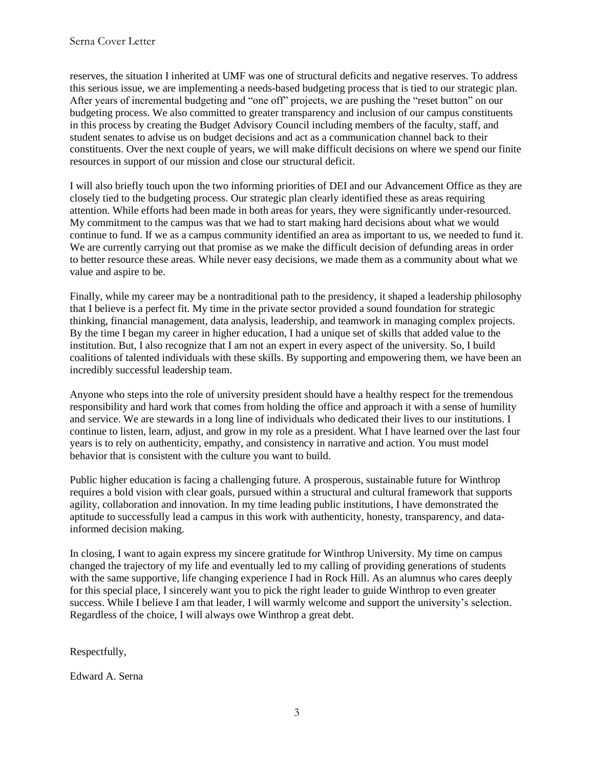reserves, the situation I inherited at UMF was one of structural deficits and negative reserves. To address this serious issue, we are implementing a needs-based budgeting process that is tied to our strategic plan. After years of incremental budgeting and "one off" projects, we are pushing the "reset button" on our budgeting process. We also committed to greater transparency and inclusion of our campus constituents in this process by creating the Budget Advisory Council including members of the faculty, staff, and student senates to advise us on budget decisions and act as a communication channel back to their constituents. Over the next couple of years, we will make difficult decisions on where we spend our finite resources in support of our mission and close our structural deficit.

I will also briefly touch upon the two informing priorities of DEI and our Advancement Office as they are closely tied to the budgeting process. Our strategic plan clearly identified these as areas requiring attention. While efforts had been made in both areas for years, they were significantly under-resourced. My commitment to the campus was that we had to start making hard decisions about what we would continue to fund. If we as a campus community identified an area as important to us, we needed to fund it. We are currently carrying out that promise as we make the difficult decision of defunding areas in order to better resource these areas. While never easy decisions, we made them as a community about what we value and aspire to be.

Finally, while my career may be a nontraditional path to the presidency, it shaped a leadership philosophy that I believe is a perfect fit. My time in the private sector provided a sound foundation for strategic thinking, financial management, data analysis, leadership, and teamwork in managing complex projects. By the time I began my career in higher education, I had a unique set of skills that added value to the institution. But, I also recognize that I am not an expert in every aspect of the university. So, I build coalitions of talented individuals with these skills. By supporting and empowering them, we have been an incredibly successful leadership team.

Anyone who steps into the role of university president should have a healthy respect for the tremendous responsibility and hard work that comes from holding the office and approach it with a sense of humility and service. We are stewards in a long line of individuals who dedicated their lives to our institutions. I continue to listen, learn, adjust, and grow in my role as a president. What I have learned over the last four years is to rely on authenticity, empathy, and consistency in narrative and action. You must model behavior that is consistent with the culture you want to build.

Public higher education is facing a challenging future. A prosperous, sustainable future for Winthrop requires a bold vision with clear goals, pursued within a structural and cultural framework that supports agility, collaboration and innovation. In my time leading public institutions, I have demonstrated the aptitude to successfully lead a campus in this work with authenticity, honesty, transparency, and datainformed decision making.

In closing, I want to again express my sincere gratitude for Winthrop University. My time on campus changed the trajectory of my life and eventually led to my calling of providing generations of students with the same supportive, life changing experience I had in Rock Hill. As an alumnus who cares deeply for this special place, I sincerely want you to pick the right leader to guide Winthrop to even greater success. While I believe I am that leader, I will warmly welcome and support the university's selection. Regardless of the choice, I will always owe Winthrop a great debt.

Respectfully,

Edward A. Serna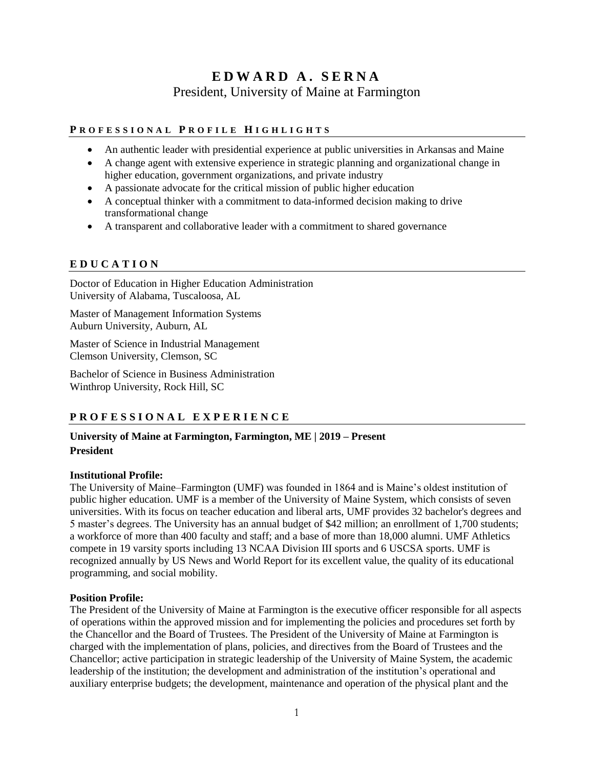# **E D W A R D A . S E R N A** President, University of Maine at Farmington

## **P R O F E S S I O N A L P R O F I L E H I G H L I G H T S**

- An authentic leader with presidential experience at public universities in Arkansas and Maine
- A change agent with extensive experience in strategic planning and organizational change in higher education, government organizations, and private industry
- A passionate advocate for the critical mission of public higher education
- A conceptual thinker with a commitment to data-informed decision making to drive transformational change
- A transparent and collaborative leader with a commitment to shared governance

#### **E D U C A T I O N**

Doctor of Education in Higher Education Administration University of Alabama, Tuscaloosa, AL

Master of Management Information Systems Auburn University, Auburn, AL

Master of Science in Industrial Management Clemson University, Clemson, SC

Bachelor of Science in Business Administration Winthrop University, Rock Hill, SC

## **P R O F E S S I O N A L E X P E R I E N C E**

### **University of Maine at Farmington, Farmington, ME | 2019 – Present President**

#### **Institutional Profile:**

The University of Maine–Farmington (UMF) was founded in 1864 and is Maine's oldest institution of public higher education. UMF is a member of the University of Maine System, which consists of seven universities. With its focus on teacher education and liberal arts, UMF provides 32 bachelor's degrees and 5 master's degrees. The University has an annual budget of \$42 million; an enrollment of 1,700 students; a workforce of more than 400 faculty and staff; and a base of more than 18,000 alumni. UMF Athletics compete in 19 varsity sports including 13 NCAA Division III sports and 6 USCSA sports. UMF is recognized annually by US News and World Report for its excellent value, the quality of its educational programming, and social mobility.

#### **Position Profile:**

The President of the University of Maine at Farmington is the executive officer responsible for all aspects of operations within the approved mission and for implementing the policies and procedures set forth by the Chancellor and the Board of Trustees. The President of the University of Maine at Farmington is charged with the implementation of plans, policies, and directives from the Board of Trustees and the Chancellor; active participation in strategic leadership of the University of Maine System, the academic leadership of the institution; the development and administration of the institution's operational and auxiliary enterprise budgets; the development, maintenance and operation of the physical plant and the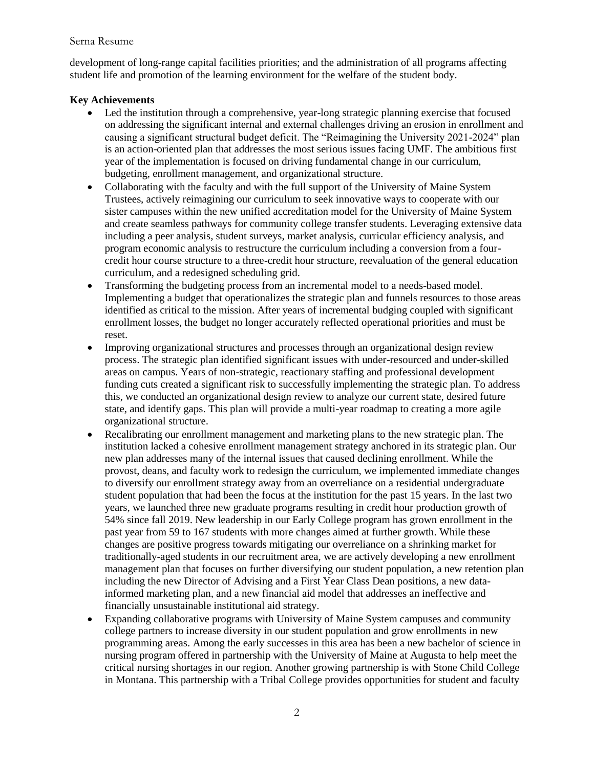#### Serna Resume

development of long-range capital facilities priorities; and the administration of all programs affecting student life and promotion of the learning environment for the welfare of the student body.

#### **Key Achievements**

- Led the institution through a comprehensive, year-long strategic planning exercise that focused on addressing the significant internal and external challenges driving an erosion in enrollment and causing a significant structural budget deficit. The "Reimagining the University 2021-2024" plan is an action-oriented plan that addresses the most serious issues facing UMF. The ambitious first year of the implementation is focused on driving fundamental change in our curriculum, budgeting, enrollment management, and organizational structure.
- Collaborating with the faculty and with the full support of the University of Maine System Trustees, actively reimagining our curriculum to seek innovative ways to cooperate with our sister campuses within the new unified accreditation model for the University of Maine System and create seamless pathways for community college transfer students. Leveraging extensive data including a peer analysis, student surveys, market analysis, curricular efficiency analysis, and program economic analysis to restructure the curriculum including a conversion from a fourcredit hour course structure to a three-credit hour structure, reevaluation of the general education curriculum, and a redesigned scheduling grid.
- Transforming the budgeting process from an incremental model to a needs-based model. Implementing a budget that operationalizes the strategic plan and funnels resources to those areas identified as critical to the mission. After years of incremental budging coupled with significant enrollment losses, the budget no longer accurately reflected operational priorities and must be reset.
- Improving organizational structures and processes through an organizational design review process. The strategic plan identified significant issues with under-resourced and under-skilled areas on campus. Years of non-strategic, reactionary staffing and professional development funding cuts created a significant risk to successfully implementing the strategic plan. To address this, we conducted an organizational design review to analyze our current state, desired future state, and identify gaps. This plan will provide a multi-year roadmap to creating a more agile organizational structure.
- Recalibrating our enrollment management and marketing plans to the new strategic plan. The institution lacked a cohesive enrollment management strategy anchored in its strategic plan. Our new plan addresses many of the internal issues that caused declining enrollment. While the provost, deans, and faculty work to redesign the curriculum, we implemented immediate changes to diversify our enrollment strategy away from an overreliance on a residential undergraduate student population that had been the focus at the institution for the past 15 years. In the last two years, we launched three new graduate programs resulting in credit hour production growth of 54% since fall 2019. New leadership in our Early College program has grown enrollment in the past year from 59 to 167 students with more changes aimed at further growth. While these changes are positive progress towards mitigating our overreliance on a shrinking market for traditionally-aged students in our recruitment area, we are actively developing a new enrollment management plan that focuses on further diversifying our student population, a new retention plan including the new Director of Advising and a First Year Class Dean positions, a new datainformed marketing plan, and a new financial aid model that addresses an ineffective and financially unsustainable institutional aid strategy.
- Expanding collaborative programs with University of Maine System campuses and community college partners to increase diversity in our student population and grow enrollments in new programming areas. Among the early successes in this area has been a new bachelor of science in nursing program offered in partnership with the University of Maine at Augusta to help meet the critical nursing shortages in our region. Another growing partnership is with Stone Child College in Montana. This partnership with a Tribal College provides opportunities for student and faculty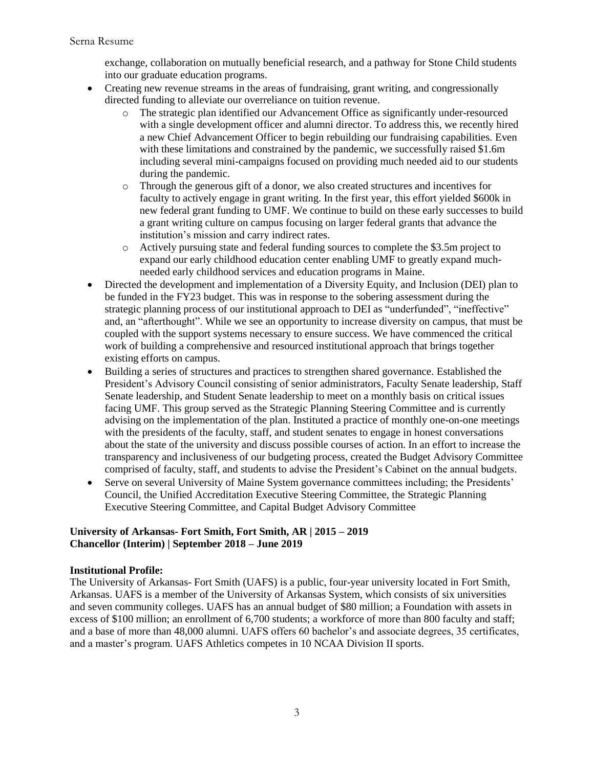exchange, collaboration on mutually beneficial research, and a pathway for Stone Child students into our graduate education programs.

- Creating new revenue streams in the areas of fundraising, grant writing, and congressionally directed funding to alleviate our overreliance on tuition revenue.
	- o The strategic plan identified our Advancement Office as significantly under-resourced with a single development officer and alumni director. To address this, we recently hired a new Chief Advancement Officer to begin rebuilding our fundraising capabilities. Even with these limitations and constrained by the pandemic, we successfully raised \$1.6m including several mini-campaigns focused on providing much needed aid to our students during the pandemic.
	- o Through the generous gift of a donor, we also created structures and incentives for faculty to actively engage in grant writing. In the first year, this effort yielded \$600k in new federal grant funding to UMF. We continue to build on these early successes to build a grant writing culture on campus focusing on larger federal grants that advance the institution's mission and carry indirect rates.
	- o Actively pursuing state and federal funding sources to complete the \$3.5m project to expand our early childhood education center enabling UMF to greatly expand muchneeded early childhood services and education programs in Maine.
- Directed the development and implementation of a Diversity Equity, and Inclusion (DEI) plan to be funded in the FY23 budget. This was in response to the sobering assessment during the strategic planning process of our institutional approach to DEI as "underfunded", "ineffective" and, an "afterthought". While we see an opportunity to increase diversity on campus, that must be coupled with the support systems necessary to ensure success. We have commenced the critical work of building a comprehensive and resourced institutional approach that brings together existing efforts on campus.
- Building a series of structures and practices to strengthen shared governance. Established the President's Advisory Council consisting of senior administrators, Faculty Senate leadership, Staff Senate leadership, and Student Senate leadership to meet on a monthly basis on critical issues facing UMF. This group served as the Strategic Planning Steering Committee and is currently advising on the implementation of the plan. Instituted a practice of monthly one-on-one meetings with the presidents of the faculty, staff, and student senates to engage in honest conversations about the state of the university and discuss possible courses of action. In an effort to increase the transparency and inclusiveness of our budgeting process, created the Budget Advisory Committee comprised of faculty, staff, and students to advise the President's Cabinet on the annual budgets.
- Serve on several University of Maine System governance committees including; the Presidents' Council, the Unified Accreditation Executive Steering Committee, the Strategic Planning Executive Steering Committee, and Capital Budget Advisory Committee

#### **University of Arkansas- Fort Smith, Fort Smith, AR | 2015 – 2019 Chancellor (Interim) | September 2018 – June 2019**

## **Institutional Profile:**

The University of Arkansas- Fort Smith (UAFS) is a public, four-year university located in Fort Smith, Arkansas. UAFS is a member of the University of Arkansas System, which consists of six universities and seven community colleges. UAFS has an annual budget of \$80 million; a Foundation with assets in excess of \$100 million; an enrollment of 6,700 students; a workforce of more than 800 faculty and staff; and a base of more than 48,000 alumni. UAFS offers 60 bachelor's and associate degrees, 35 certificates, and a master's program. UAFS Athletics competes in 10 NCAA Division II sports.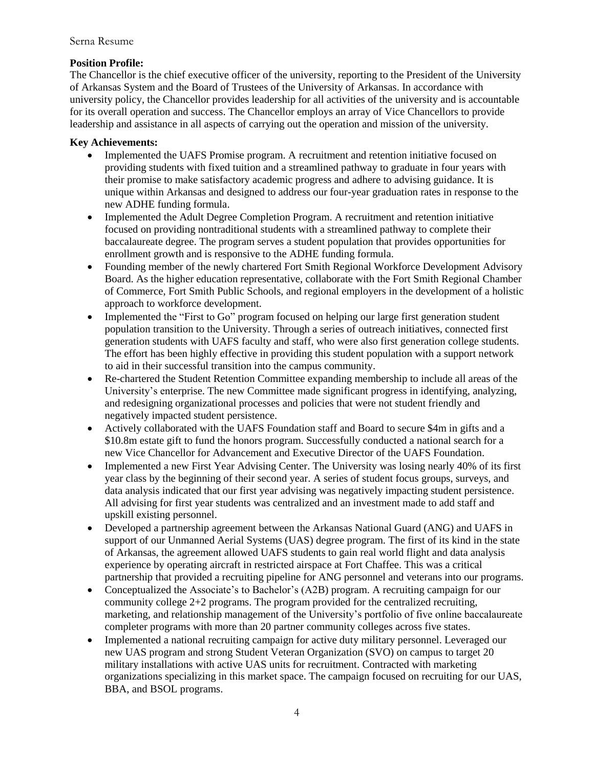#### Serna Resume

#### **Position Profile:**

The Chancellor is the chief executive officer of the university, reporting to the President of the University of Arkansas System and the Board of Trustees of the University of Arkansas. In accordance with university policy, the Chancellor provides leadership for all activities of the university and is accountable for its overall operation and success. The Chancellor employs an array of Vice Chancellors to provide leadership and assistance in all aspects of carrying out the operation and mission of the university.

#### **Key Achievements:**

- Implemented the UAFS Promise program. A recruitment and retention initiative focused on providing students with fixed tuition and a streamlined pathway to graduate in four years with their promise to make satisfactory academic progress and adhere to advising guidance. It is unique within Arkansas and designed to address our four-year graduation rates in response to the new ADHE funding formula.
- Implemented the Adult Degree Completion Program. A recruitment and retention initiative focused on providing nontraditional students with a streamlined pathway to complete their baccalaureate degree. The program serves a student population that provides opportunities for enrollment growth and is responsive to the ADHE funding formula.
- Founding member of the newly chartered Fort Smith Regional Workforce Development Advisory Board. As the higher education representative, collaborate with the Fort Smith Regional Chamber of Commerce, Fort Smith Public Schools, and regional employers in the development of a holistic approach to workforce development.
- Implemented the "First to Go" program focused on helping our large first generation student population transition to the University. Through a series of outreach initiatives, connected first generation students with UAFS faculty and staff, who were also first generation college students. The effort has been highly effective in providing this student population with a support network to aid in their successful transition into the campus community.
- Re-chartered the Student Retention Committee expanding membership to include all areas of the University's enterprise. The new Committee made significant progress in identifying, analyzing, and redesigning organizational processes and policies that were not student friendly and negatively impacted student persistence.
- Actively collaborated with the UAFS Foundation staff and Board to secure \$4m in gifts and a \$10.8m estate gift to fund the honors program. Successfully conducted a national search for a new Vice Chancellor for Advancement and Executive Director of the UAFS Foundation.
- Implemented a new First Year Advising Center. The University was losing nearly 40% of its first year class by the beginning of their second year. A series of student focus groups, surveys, and data analysis indicated that our first year advising was negatively impacting student persistence. All advising for first year students was centralized and an investment made to add staff and upskill existing personnel.
- Developed a partnership agreement between the Arkansas National Guard (ANG) and UAFS in support of our Unmanned Aerial Systems (UAS) degree program. The first of its kind in the state of Arkansas, the agreement allowed UAFS students to gain real world flight and data analysis experience by operating aircraft in restricted airspace at Fort Chaffee. This was a critical partnership that provided a recruiting pipeline for ANG personnel and veterans into our programs.
- Conceptualized the Associate's to Bachelor's (A2B) program. A recruiting campaign for our community college 2+2 programs. The program provided for the centralized recruiting, marketing, and relationship management of the University's portfolio of five online baccalaureate completer programs with more than 20 partner community colleges across five states.
- Implemented a national recruiting campaign for active duty military personnel. Leveraged our new UAS program and strong Student Veteran Organization (SVO) on campus to target 20 military installations with active UAS units for recruitment. Contracted with marketing organizations specializing in this market space. The campaign focused on recruiting for our UAS, BBA, and BSOL programs.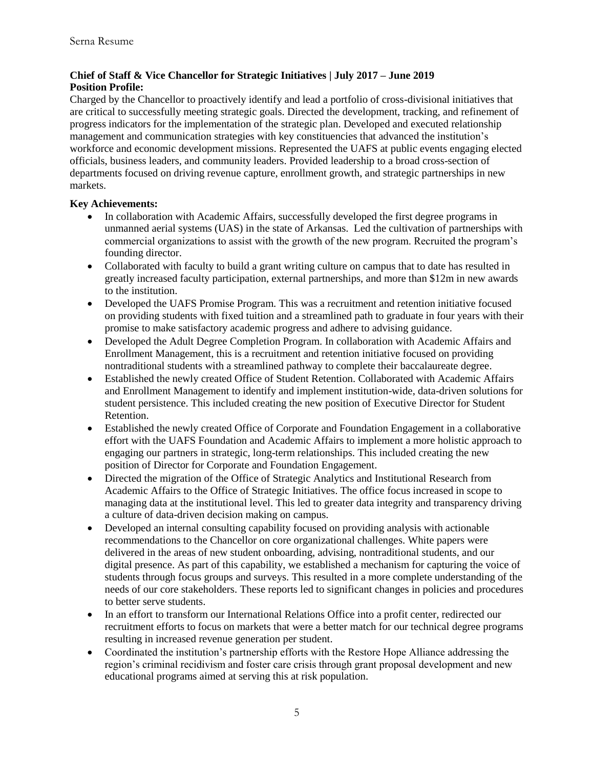## **Chief of Staff & Vice Chancellor for Strategic Initiatives | July 2017 – June 2019 Position Profile:**

Charged by the Chancellor to proactively identify and lead a portfolio of cross-divisional initiatives that are critical to successfully meeting strategic goals. Directed the development, tracking, and refinement of progress indicators for the implementation of the strategic plan. Developed and executed relationship management and communication strategies with key constituencies that advanced the institution's workforce and economic development missions. Represented the UAFS at public events engaging elected officials, business leaders, and community leaders. Provided leadership to a broad cross-section of departments focused on driving revenue capture, enrollment growth, and strategic partnerships in new markets.

## **Key Achievements:**

- In collaboration with Academic Affairs, successfully developed the first degree programs in unmanned aerial systems (UAS) in the state of Arkansas. Led the cultivation of partnerships with commercial organizations to assist with the growth of the new program. Recruited the program's founding director.
- Collaborated with faculty to build a grant writing culture on campus that to date has resulted in greatly increased faculty participation, external partnerships, and more than \$12m in new awards to the institution.
- Developed the UAFS Promise Program. This was a recruitment and retention initiative focused on providing students with fixed tuition and a streamlined path to graduate in four years with their promise to make satisfactory academic progress and adhere to advising guidance.
- Developed the Adult Degree Completion Program. In collaboration with Academic Affairs and Enrollment Management, this is a recruitment and retention initiative focused on providing nontraditional students with a streamlined pathway to complete their baccalaureate degree.
- Established the newly created Office of Student Retention. Collaborated with Academic Affairs and Enrollment Management to identify and implement institution-wide, data-driven solutions for student persistence. This included creating the new position of Executive Director for Student Retention.
- Established the newly created Office of Corporate and Foundation Engagement in a collaborative effort with the UAFS Foundation and Academic Affairs to implement a more holistic approach to engaging our partners in strategic, long-term relationships. This included creating the new position of Director for Corporate and Foundation Engagement.
- Directed the migration of the Office of Strategic Analytics and Institutional Research from Academic Affairs to the Office of Strategic Initiatives. The office focus increased in scope to managing data at the institutional level. This led to greater data integrity and transparency driving a culture of data-driven decision making on campus.
- Developed an internal consulting capability focused on providing analysis with actionable recommendations to the Chancellor on core organizational challenges. White papers were delivered in the areas of new student onboarding, advising, nontraditional students, and our digital presence. As part of this capability, we established a mechanism for capturing the voice of students through focus groups and surveys. This resulted in a more complete understanding of the needs of our core stakeholders. These reports led to significant changes in policies and procedures to better serve students.
- In an effort to transform our International Relations Office into a profit center, redirected our recruitment efforts to focus on markets that were a better match for our technical degree programs resulting in increased revenue generation per student.
- Coordinated the institution's partnership efforts with the Restore Hope Alliance addressing the region's criminal recidivism and foster care crisis through grant proposal development and new educational programs aimed at serving this at risk population.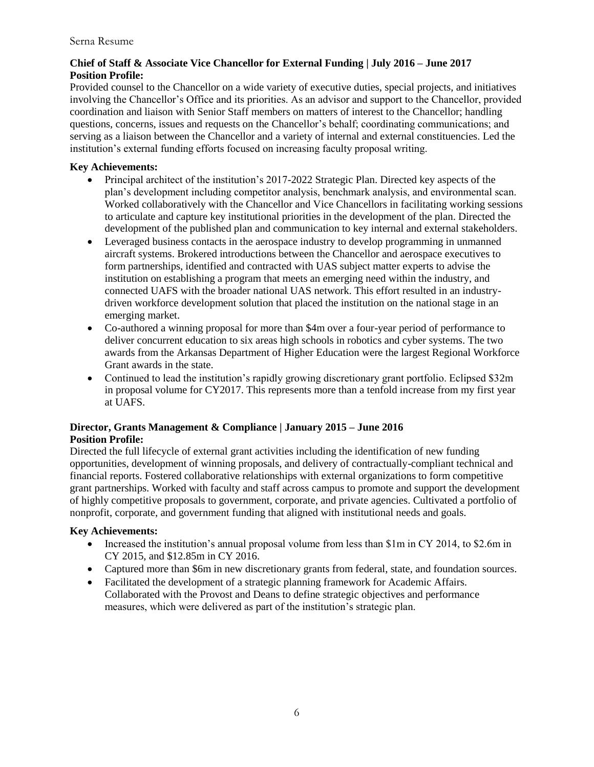## **Chief of Staff & Associate Vice Chancellor for External Funding | July 2016 – June 2017 Position Profile:**

Provided counsel to the Chancellor on a wide variety of executive duties, special projects, and initiatives involving the Chancellor's Office and its priorities. As an advisor and support to the Chancellor, provided coordination and liaison with Senior Staff members on matters of interest to the Chancellor; handling questions, concerns, issues and requests on the Chancellor's behalf; coordinating communications; and serving as a liaison between the Chancellor and a variety of internal and external constituencies. Led the institution's external funding efforts focused on increasing faculty proposal writing.

## **Key Achievements:**

- Principal architect of the institution's 2017-2022 Strategic Plan. Directed key aspects of the plan's development including competitor analysis, benchmark analysis, and environmental scan. Worked collaboratively with the Chancellor and Vice Chancellors in facilitating working sessions to articulate and capture key institutional priorities in the development of the plan. Directed the development of the published plan and communication to key internal and external stakeholders.
- Leveraged business contacts in the aerospace industry to develop programming in unmanned aircraft systems. Brokered introductions between the Chancellor and aerospace executives to form partnerships, identified and contracted with UAS subject matter experts to advise the institution on establishing a program that meets an emerging need within the industry, and connected UAFS with the broader national UAS network. This effort resulted in an industrydriven workforce development solution that placed the institution on the national stage in an emerging market.
- Co-authored a winning proposal for more than \$4m over a four-year period of performance to deliver concurrent education to six areas high schools in robotics and cyber systems. The two awards from the Arkansas Department of Higher Education were the largest Regional Workforce Grant awards in the state.
- Continued to lead the institution's rapidly growing discretionary grant portfolio. Eclipsed \$32m in proposal volume for CY2017. This represents more than a tenfold increase from my first year at UAFS.

#### **Director, Grants Management & Compliance | January 2015 – June 2016 Position Profile:**

Directed the full lifecycle of external grant activities including the identification of new funding opportunities, development of winning proposals, and delivery of contractually-compliant technical and financial reports. Fostered collaborative relationships with external organizations to form competitive grant partnerships. Worked with faculty and staff across campus to promote and support the development of highly competitive proposals to government, corporate, and private agencies. Cultivated a portfolio of nonprofit, corporate, and government funding that aligned with institutional needs and goals.

## **Key Achievements:**

- Increased the institution's annual proposal volume from less than  $$1m$  in CY 2014, to  $$2.6m$  in CY 2015, and \$12.85m in CY 2016.
- Captured more than \$6m in new discretionary grants from federal, state, and foundation sources.
- Facilitated the development of a strategic planning framework for Academic Affairs. Collaborated with the Provost and Deans to define strategic objectives and performance measures, which were delivered as part of the institution's strategic plan.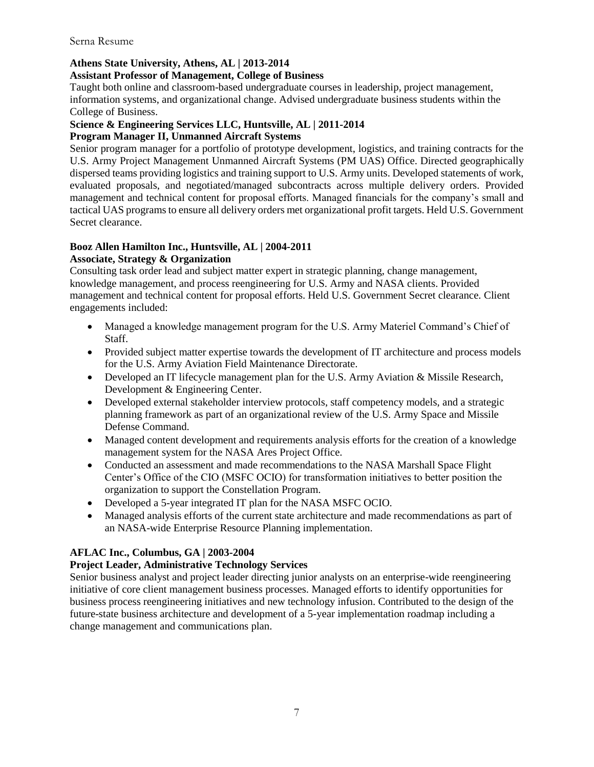#### Serna Resume

## **Athens State University, Athens, AL | 2013-2014**

#### **Assistant Professor of Management, College of Business**

Taught both online and classroom-based undergraduate courses in leadership, project management, information systems, and organizational change. Advised undergraduate business students within the College of Business.

#### **Science & Engineering Services LLC, Huntsville, AL | 2011-2014**

#### **Program Manager II, Unmanned Aircraft Systems**

Senior program manager for a portfolio of prototype development, logistics, and training contracts for the U.S. Army Project Management Unmanned Aircraft Systems (PM UAS) Office. Directed geographically dispersed teams providing logistics and training support to U.S. Army units. Developed statements of work, evaluated proposals, and negotiated/managed subcontracts across multiple delivery orders. Provided management and technical content for proposal efforts. Managed financials for the company's small and tactical UAS programs to ensure all delivery orders met organizational profit targets. Held U.S. Government Secret clearance.

# **Booz Allen Hamilton Inc., Huntsville, AL | 2004-2011**

## **Associate, Strategy & Organization**

Consulting task order lead and subject matter expert in strategic planning, change management, knowledge management, and process reengineering for U.S. Army and NASA clients. Provided management and technical content for proposal efforts. Held U.S. Government Secret clearance. Client engagements included:

- Managed a knowledge management program for the U.S. Army Materiel Command's Chief of Staff.
- Provided subject matter expertise towards the development of IT architecture and process models for the U.S. Army Aviation Field Maintenance Directorate.
- Developed an IT lifecycle management plan for the U.S. Army Aviation & Missile Research, Development & Engineering Center.
- Developed external stakeholder interview protocols, staff competency models, and a strategic planning framework as part of an organizational review of the U.S. Army Space and Missile Defense Command.
- Managed content development and requirements analysis efforts for the creation of a knowledge management system for the NASA Ares Project Office.
- Conducted an assessment and made recommendations to the NASA Marshall Space Flight Center's Office of the CIO (MSFC OCIO) for transformation initiatives to better position the organization to support the Constellation Program.
- Developed a 5-year integrated IT plan for the NASA MSFC OCIO.
- Managed analysis efforts of the current state architecture and made recommendations as part of an NASA-wide Enterprise Resource Planning implementation.

#### **AFLAC Inc., Columbus, GA | 2003-2004**

#### **Project Leader, Administrative Technology Services**

Senior business analyst and project leader directing junior analysts on an enterprise-wide reengineering initiative of core client management business processes. Managed efforts to identify opportunities for business process reengineering initiatives and new technology infusion. Contributed to the design of the future-state business architecture and development of a 5-year implementation roadmap including a change management and communications plan.